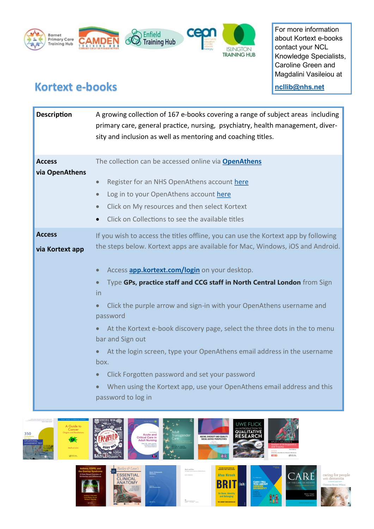

For more information about Kortext e-books contact your NCL Knowledge Specialists, Caroline Green and Magdalini Vasileiou at

## **Kortext e-books**

**[ncllib@nhs.net](mailto:ncllib@nhs.net)**

| <b>Description</b>               | A growing collection of 167 e-books covering a range of subject areas including<br>primary care, general practice, nursing, psychiatry, health management, diver-<br>sity and inclusion as well as mentoring and coaching titles.                                                                                                                                                                                                                                                                                                                                                                                                                                                                                                         |
|----------------------------------|-------------------------------------------------------------------------------------------------------------------------------------------------------------------------------------------------------------------------------------------------------------------------------------------------------------------------------------------------------------------------------------------------------------------------------------------------------------------------------------------------------------------------------------------------------------------------------------------------------------------------------------------------------------------------------------------------------------------------------------------|
| <b>Access</b><br>via OpenAthens  | The collection can be accessed online via <b>OpenAthens</b><br>Register for an NHS OpenAthens account here<br>Log in to your OpenAthens account here<br>$\bullet$<br>Click on My resources and then select Kortext<br>Click on Collections to see the available titles                                                                                                                                                                                                                                                                                                                                                                                                                                                                    |
| <b>Access</b><br>via Kortext app | If you wish to access the titles offline, you can use the Kortext app by following<br>the steps below. Kortext apps are available for Mac, Windows, iOS and Android.<br>Access app.kortext.com/login on your desktop.<br>Type GPs, practice staff and CCG staff in North Central London from Sign<br><i>in</i><br>Click the purple arrow and sign-in with your OpenAthens username and<br>password<br>At the Kortext e-book discovery page, select the three dots in the to menu<br>bar and Sign out<br>At the login screen, type your OpenAthens email address in the username<br>box.<br>Click Forgotten password and set your password<br>When using the Kortext app, use your OpenAthens email address and this<br>password to log in |